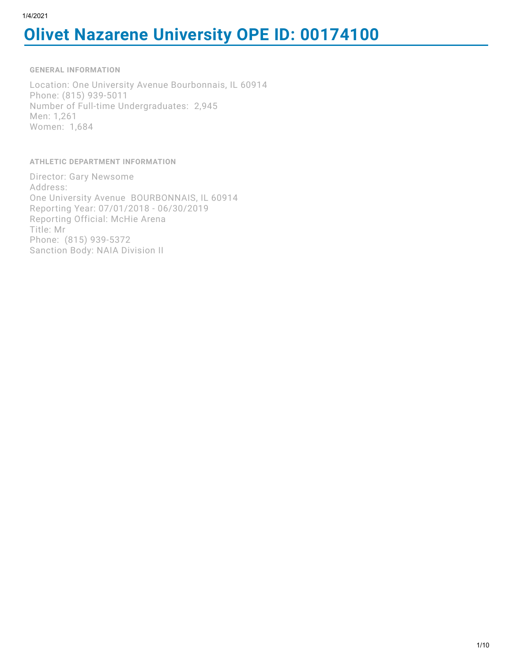# **Olivet Nazarene University OPE ID: 00174100**

**GENERAL INFORMATION**

Location: One University Avenue Bourbonnais, IL 60914 Phone: (815) 939-5011 Number of Full-time Undergraduates: 2,945 Men: 1,261 Women: 1,684

**ATHLETIC DEPARTMENT INFORMATION**

Director: Gary Newsome Address: One University Avenue BOURBONNAIS, IL 60914 Reporting Year: 07/01/2018 - 06/30/2019 Reporting Official: McHie Arena Title: Mr Phone: (815) 939-5372 Sanction Body: NAIA Division II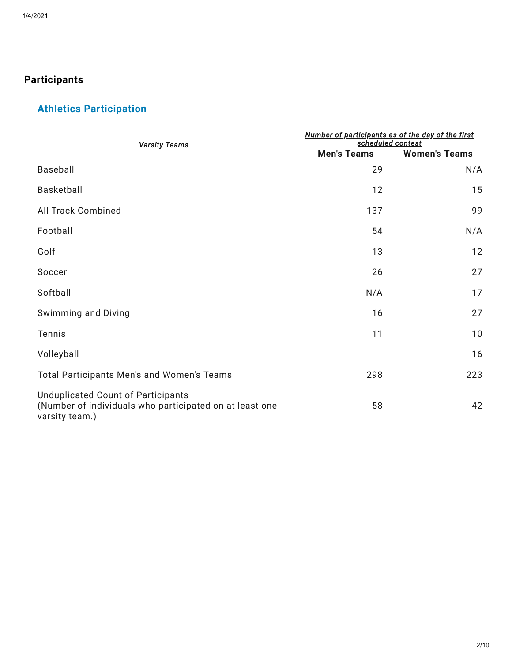## **Participants**

# **Athletics Participation**

| <b>Varsity Teams</b>                                                                                            | Number of participants as of the day of the first<br>scheduled contest |                      |  |  |
|-----------------------------------------------------------------------------------------------------------------|------------------------------------------------------------------------|----------------------|--|--|
|                                                                                                                 | <b>Men's Teams</b>                                                     | <b>Women's Teams</b> |  |  |
| Baseball                                                                                                        | 29                                                                     | N/A                  |  |  |
| Basketball                                                                                                      | 12                                                                     | 15                   |  |  |
| All Track Combined                                                                                              | 137                                                                    | 99                   |  |  |
| Football                                                                                                        | 54                                                                     | N/A                  |  |  |
| Golf                                                                                                            | 13                                                                     | 12                   |  |  |
| Soccer                                                                                                          | 26                                                                     | 27                   |  |  |
| Softball                                                                                                        | N/A                                                                    | 17                   |  |  |
| Swimming and Diving                                                                                             | 16                                                                     | 27                   |  |  |
| Tennis                                                                                                          | 11                                                                     | 10                   |  |  |
| Volleyball                                                                                                      |                                                                        | 16                   |  |  |
| Total Participants Men's and Women's Teams                                                                      | 298                                                                    | 223                  |  |  |
| Unduplicated Count of Participants<br>(Number of individuals who participated on at least one<br>varsity team.) | 58                                                                     | 42                   |  |  |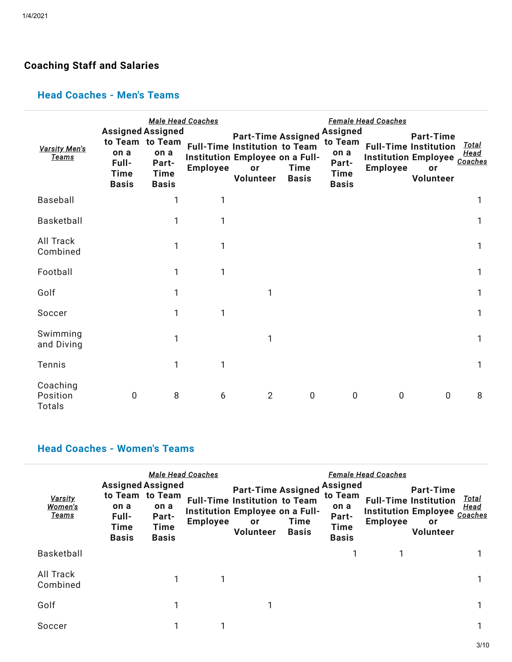# **Coaching Staff and Salaries**

## **Head Coaches - Men's Teams**

| <b>Varsity Men's</b><br><b>Teams</b> | <b>Assigned Assigned</b><br>to Team to Team<br>on a<br>Full-<br><b>Time</b><br><b>Basis</b> | on a<br>Part-<br><b>Time</b><br><b>Basis</b> | <b>Male Head Coaches</b><br><b>Employee</b> | <b>Part-Time Assigned</b><br><b>Full-Time Institution to Team</b><br>Institution Employee on a Full-<br>or<br>Volunteer | Time<br><b>Basis</b> | <b>Assigned</b><br>to Team<br>on a<br>Part-<br><b>Time</b><br><b>Basis</b> | <b>Female Head Coaches</b><br><b>Employee</b> | <b>Part-Time</b><br><b>Full-Time Institution</b><br>Institution Employee Coaches<br>or<br>Volunteer | Total<br>Head |
|--------------------------------------|---------------------------------------------------------------------------------------------|----------------------------------------------|---------------------------------------------|-------------------------------------------------------------------------------------------------------------------------|----------------------|----------------------------------------------------------------------------|-----------------------------------------------|-----------------------------------------------------------------------------------------------------|---------------|
| Baseball                             |                                                                                             | 1                                            | 1                                           |                                                                                                                         |                      |                                                                            |                                               |                                                                                                     | 1             |
| Basketball                           |                                                                                             | 1                                            | 1                                           |                                                                                                                         |                      |                                                                            |                                               |                                                                                                     | 1             |
| All Track<br>Combined                |                                                                                             | 1                                            | 1                                           |                                                                                                                         |                      |                                                                            |                                               |                                                                                                     | 1             |
| Football                             |                                                                                             | 1                                            | 1                                           |                                                                                                                         |                      |                                                                            |                                               |                                                                                                     | 1             |
| Golf                                 |                                                                                             | 1                                            |                                             |                                                                                                                         |                      |                                                                            |                                               |                                                                                                     | 1             |
| Soccer                               |                                                                                             | 1                                            | 1                                           |                                                                                                                         |                      |                                                                            |                                               |                                                                                                     | 1             |
| Swimming<br>and Diving               |                                                                                             | 1                                            |                                             | 1                                                                                                                       |                      |                                                                            |                                               |                                                                                                     | 1             |
| Tennis                               |                                                                                             | 1                                            | 1                                           |                                                                                                                         |                      |                                                                            |                                               |                                                                                                     | 1             |
| Coaching<br>Position<br>Totals       | 0                                                                                           | 8                                            | 6                                           | $\overline{2}$                                                                                                          | $\mathbf 0$          | $\mathbf{0}$                                                               | $\mathbf 0$                                   | $\mathbf 0$                                                                                         | 8             |

## **Head Coaches - Women's Teams**

| Varsity<br>Women's<br><u>Teams</u> | <b>Assigned Assigned</b><br>to Team to Team<br>on a<br>Full-<br>Time<br><b>Basis</b> | <b>Male Head Coaches</b><br>on a<br>Part-<br>Time<br><b>Basis</b> | <b>Employee</b> | <b>Part-Time Assigned</b><br><b>Full-Time Institution to Team</b><br>Institution Employee on a Full-<br>or<br>Volunteer | <b>Time</b><br><b>Basis</b> | <b>Assigned</b><br>to Team<br>on a<br>Part-<br><b>Time</b><br><b>Basis</b> | <b>Female Head Coaches</b><br>Institution Employee Coaches<br><b>Employee</b> | <b>Part-Time</b><br><b>Full-Time Institution</b><br>or<br>Volunteer | <u>Total</u><br>Head |
|------------------------------------|--------------------------------------------------------------------------------------|-------------------------------------------------------------------|-----------------|-------------------------------------------------------------------------------------------------------------------------|-----------------------------|----------------------------------------------------------------------------|-------------------------------------------------------------------------------|---------------------------------------------------------------------|----------------------|
| <b>Basketball</b>                  |                                                                                      |                                                                   |                 |                                                                                                                         |                             |                                                                            |                                                                               |                                                                     |                      |
| All Track<br>Combined              |                                                                                      |                                                                   |                 |                                                                                                                         |                             |                                                                            |                                                                               |                                                                     |                      |
| Golf                               |                                                                                      |                                                                   |                 |                                                                                                                         |                             |                                                                            |                                                                               |                                                                     |                      |
| Soccer                             |                                                                                      |                                                                   |                 |                                                                                                                         |                             |                                                                            |                                                                               |                                                                     |                      |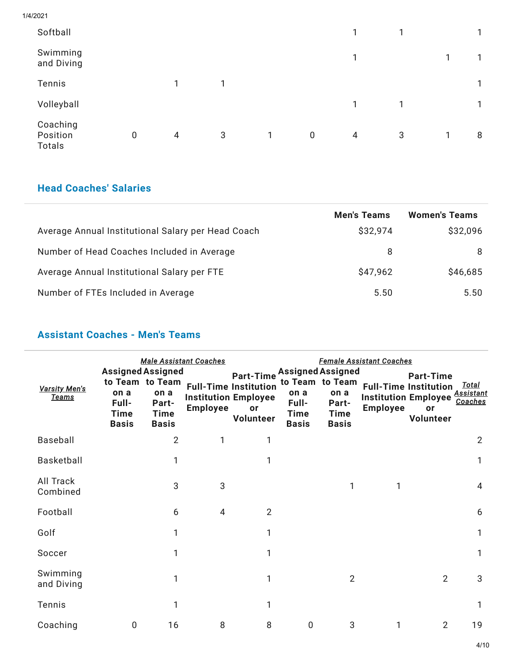1/4/2021

| Softball                              |   |   |              |              |             | $\mathbf{1}$   | 1 |   |              |
|---------------------------------------|---|---|--------------|--------------|-------------|----------------|---|---|--------------|
| Swimming<br>and Diving                |   |   |              |              |             | 1              |   | 1 |              |
| Tennis                                |   | 1 | $\mathbf{1}$ |              |             |                |   |   | $\mathbf{1}$ |
| Volleyball                            |   |   |              |              |             | 1              | 1 |   |              |
| Coaching<br>Position<br><b>Totals</b> | 0 | 4 | 3            | $\mathbf{1}$ | $\mathbf 0$ | $\overline{4}$ | 3 | 1 | 8            |

## **Head Coaches' Salaries**

|                                                    | <b>Men's Teams</b> | <b>Women's Teams</b> |
|----------------------------------------------------|--------------------|----------------------|
| Average Annual Institutional Salary per Head Coach | \$32,974           | \$32,096             |
| Number of Head Coaches Included in Average         | 8                  | 8                    |
| Average Annual Institutional Salary per FTE        | \$47,962           | \$46,685             |
| Number of FTEs Included in Average                 | 5.50               | 5.50                 |

## **Assistant Coaches - Men's Teams**

| <b>Varsity Men's</b><br>Teams | <b>Assigned Assigned</b><br>on a<br>Full-<br><b>Time</b><br><b>Basis</b> | to Team to Team<br>on a<br>Part-<br><b>Time</b><br><b>Basis</b> | <b>Male Assistant Coaches</b><br><b>Employee</b> | <b>Part-Time</b><br><b>Full-Time Institution</b><br><b>Institution Employee</b><br>or<br>Volunteer | <b>Assigned Assigned</b><br>on a<br>Full-<br><b>Time</b><br><b>Basis</b> | to Team to Team<br>on a<br>Part-<br><b>Time</b><br><b>Basis</b> | <u>Female Assistant Coaches</u><br><b>Employee</b> | <b>Part-Time</b><br><b>Full-Time Institution</b><br><b>Institution Employee</b><br>or<br>Volunteer | Total<br>Assistant<br>Coaches |
|-------------------------------|--------------------------------------------------------------------------|-----------------------------------------------------------------|--------------------------------------------------|----------------------------------------------------------------------------------------------------|--------------------------------------------------------------------------|-----------------------------------------------------------------|----------------------------------------------------|----------------------------------------------------------------------------------------------------|-------------------------------|
| Baseball                      |                                                                          | $\overline{2}$                                                  | 1                                                | 1                                                                                                  |                                                                          |                                                                 |                                                    |                                                                                                    | $\overline{2}$                |
| Basketball                    |                                                                          |                                                                 |                                                  | 1                                                                                                  |                                                                          |                                                                 |                                                    |                                                                                                    | 1                             |
| All Track<br>Combined         |                                                                          | 3                                                               | 3                                                |                                                                                                    |                                                                          | 1                                                               | 1                                                  |                                                                                                    | $\overline{4}$                |
| Football                      |                                                                          | 6                                                               | 4                                                | 2                                                                                                  |                                                                          |                                                                 |                                                    |                                                                                                    | 6                             |
| Golf                          |                                                                          |                                                                 |                                                  | 1                                                                                                  |                                                                          |                                                                 |                                                    |                                                                                                    | 1                             |
| Soccer                        |                                                                          | 1                                                               |                                                  | 1                                                                                                  |                                                                          |                                                                 |                                                    |                                                                                                    | 1                             |
| Swimming<br>and Diving        |                                                                          |                                                                 |                                                  | 1                                                                                                  |                                                                          | $\overline{2}$                                                  |                                                    | $\overline{2}$                                                                                     | 3                             |
| Tennis                        |                                                                          | 1                                                               |                                                  | 1                                                                                                  |                                                                          |                                                                 |                                                    |                                                                                                    | 1                             |
| Coaching                      | 0                                                                        | 16                                                              | 8                                                | 8                                                                                                  | 0                                                                        | 3                                                               | 1                                                  | $\overline{2}$                                                                                     | 19                            |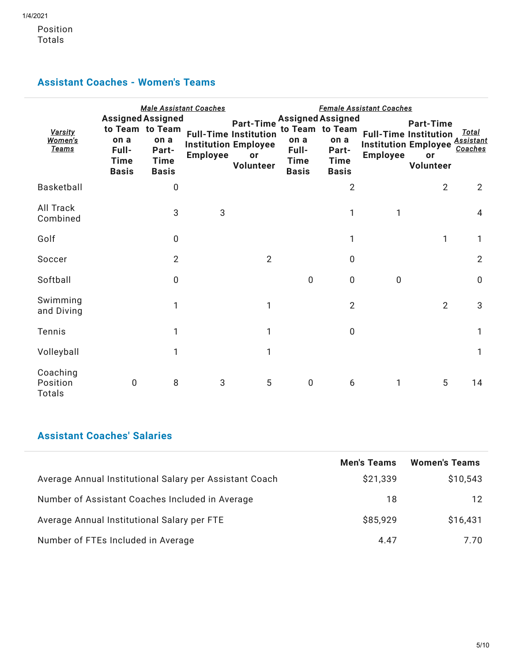Position Totals

## **Assistant Coaches - Women's Teams**

| Varsity<br>Women's<br><u>Teams</u>    | <b>Assigned Assigned</b><br>to Team to Team<br>on a<br>Full-<br><b>Time</b><br><b>Basis</b> | on a<br>Part-<br><b>Time</b><br><b>Basis</b> | <b>Male Assistant Coaches</b><br><b>Employee</b> | <b>Part-Time</b><br><b>Full-Time Institution</b><br><b>Institution Employee</b><br><b>or</b><br>Volunteer | on a<br>Full-<br><b>Time</b><br><b>Basis</b> | <b>Assigned Assigned</b><br>to Team to Team<br>on a<br>Part-<br><b>Time</b><br><b>Basis</b> | <b>Female Assistant Coaches</b><br><b>Employee</b> | <b>Part-Time</b><br><b>Full-Time Institution</b><br><b>Institution Employee</b><br>or<br>Volunteer | <u>Total</u><br>Assistant<br>Coaches |
|---------------------------------------|---------------------------------------------------------------------------------------------|----------------------------------------------|--------------------------------------------------|-----------------------------------------------------------------------------------------------------------|----------------------------------------------|---------------------------------------------------------------------------------------------|----------------------------------------------------|----------------------------------------------------------------------------------------------------|--------------------------------------|
| Basketball                            |                                                                                             | $\mathbf 0$                                  |                                                  |                                                                                                           |                                              | $\overline{2}$                                                                              |                                                    | $\overline{2}$                                                                                     | $\overline{2}$                       |
| All Track<br>Combined                 |                                                                                             | 3                                            | 3                                                |                                                                                                           |                                              | 1                                                                                           | 1                                                  |                                                                                                    | 4                                    |
| Golf                                  |                                                                                             | $\mathbf 0$                                  |                                                  |                                                                                                           |                                              | 1                                                                                           |                                                    | 1                                                                                                  | 1                                    |
| Soccer                                |                                                                                             | $\overline{2}$                               |                                                  | $\overline{2}$                                                                                            |                                              | 0                                                                                           |                                                    |                                                                                                    | $\overline{2}$                       |
| Softball                              |                                                                                             | $\overline{0}$                               |                                                  |                                                                                                           | $\mathbf 0$                                  | $\mathbf 0$                                                                                 | $\mathbf 0$                                        |                                                                                                    | $\mathbf 0$                          |
| Swimming<br>and Diving                |                                                                                             | 1                                            |                                                  | 1                                                                                                         |                                              | $\overline{2}$                                                                              |                                                    | $\overline{2}$                                                                                     | 3                                    |
| Tennis                                |                                                                                             | 1                                            |                                                  | 1                                                                                                         |                                              | $\mathbf 0$                                                                                 |                                                    |                                                                                                    | 1                                    |
| Volleyball                            |                                                                                             | 1                                            |                                                  | 1                                                                                                         |                                              |                                                                                             |                                                    |                                                                                                    | 1                                    |
| Coaching<br>Position<br><b>Totals</b> | 0                                                                                           | 8                                            | 3                                                | 5                                                                                                         | $\mathbf 0$                                  | 6                                                                                           | 1                                                  | 5                                                                                                  | 14                                   |

## **Assistant Coaches' Salaries**

|                                                         | <b>Men's Teams</b> | <b>Women's Teams</b> |
|---------------------------------------------------------|--------------------|----------------------|
| Average Annual Institutional Salary per Assistant Coach | \$21,339           | \$10,543             |
| Number of Assistant Coaches Included in Average         | 18                 | 12                   |
| Average Annual Institutional Salary per FTE             | \$85,929           | \$16,431             |
| Number of FTEs Included in Average                      | 4.47               | 7.70                 |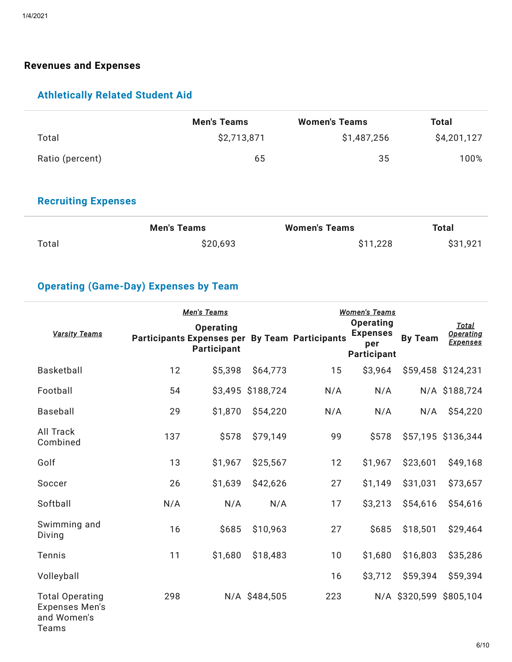#### **Revenues and Expenses**

## **Athletically Related Student Aid**

|                 | <b>Men's Teams</b> | <b>Women's Teams</b> | Total       |
|-----------------|--------------------|----------------------|-------------|
| Total           | \$2,713,871        | \$1,487,256          | \$4,201,127 |
| Ratio (percent) | 65                 | 35                   | 100%        |

## **Recruiting Expenses**

|       | <b>Men's Teams</b> | <b>Women's Teams</b> | <b>Total</b> |
|-------|--------------------|----------------------|--------------|
| Total | \$20,693           | \$11,228             | \$31,921     |

## **Operating (Game-Day) Expenses by Team**

|                                                                         |     | Men's Teams                                                                              |                   | <b>Women's Teams</b> |                                                                  |                         |                                                     |
|-------------------------------------------------------------------------|-----|------------------------------------------------------------------------------------------|-------------------|----------------------|------------------------------------------------------------------|-------------------------|-----------------------------------------------------|
| <b>Varsity Teams</b>                                                    |     | <b>Operating</b><br><b>Participants Expenses per By Team Participants</b><br>Participant |                   |                      | <b>Operating</b><br><b>Expenses</b><br>per<br><b>Participant</b> | <b>By Team</b>          | <b>Total</b><br><b>Operating</b><br><b>Expenses</b> |
| <b>Basketball</b>                                                       | 12  | \$5,398                                                                                  | \$64,773          | 15                   | \$3,964                                                          |                         | \$59,458 \$124,231                                  |
| Football                                                                | 54  |                                                                                          | \$3,495 \$188,724 | N/A                  | N/A                                                              |                         | N/A \$188,724                                       |
| Baseball                                                                | 29  | \$1,870                                                                                  | \$54,220          | N/A                  | N/A                                                              | N/A                     | \$54,220                                            |
| <b>All Track</b><br>Combined                                            | 137 | \$578                                                                                    | \$79,149          | 99                   | \$578                                                            |                         | \$57,195 \$136,344                                  |
| Golf                                                                    | 13  | \$1,967                                                                                  | \$25,567          | 12                   | \$1,967                                                          | \$23,601                | \$49,168                                            |
| Soccer                                                                  | 26  | \$1,639                                                                                  | \$42,626          | 27                   | \$1,149                                                          | \$31,031                | \$73,657                                            |
| Softball                                                                | N/A | N/A                                                                                      | N/A               | 17                   | \$3,213                                                          | \$54,616                | \$54,616                                            |
| Swimming and<br>Diving                                                  | 16  | \$685                                                                                    | \$10,963          | 27                   | \$685                                                            | \$18,501                | \$29,464                                            |
| Tennis                                                                  | 11  | \$1,680                                                                                  | \$18,483          | 10                   | \$1,680                                                          | \$16,803                | \$35,286                                            |
| Volleyball                                                              |     |                                                                                          |                   | 16                   | \$3,712                                                          | \$59,394                | \$59,394                                            |
| <b>Total Operating</b><br><b>Expenses Men's</b><br>and Women's<br>Teams | 298 |                                                                                          | N/A \$484,505     | 223                  |                                                                  | N/A \$320,599 \$805,104 |                                                     |

6/10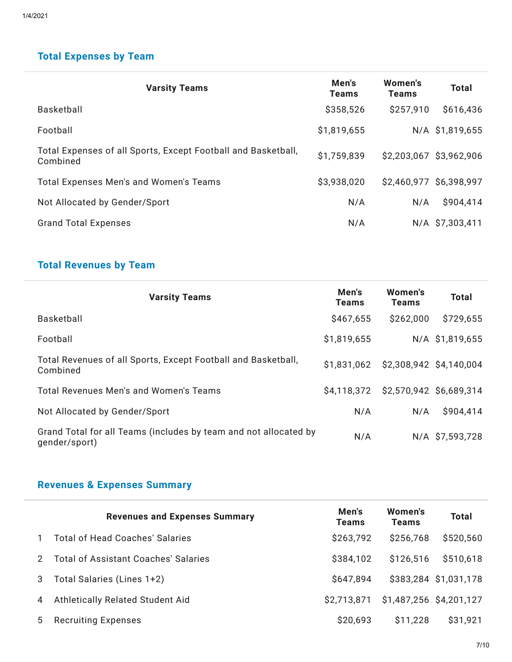## **Total Expenses by Team**

| <b>Varsity Teams</b>                                                      | Men's<br><b>Teams</b> | Women's<br><b>Teams</b> | <b>Total</b>            |
|---------------------------------------------------------------------------|-----------------------|-------------------------|-------------------------|
| Basketball                                                                | \$358,526             | \$257,910               | \$616,436               |
| Football                                                                  | \$1,819,655           |                         | N/A \$1,819,655         |
| Total Expenses of all Sports, Except Football and Basketball,<br>Combined | \$1,759,839           |                         | \$2,203,067 \$3,962,906 |
| Total Expenses Men's and Women's Teams                                    | \$3,938,020           | \$2,460,977 \$6,398,997 |                         |
| Not Allocated by Gender/Sport                                             | N/A                   | N/A                     | \$904,414               |
| <b>Grand Total Expenses</b>                                               | N/A                   |                         | N/A \$7,303,411         |

# **Total Revenues by Team**

| <b>Varsity Teams</b>                                                              | Men's<br><b>Teams</b> | Women's<br><b>Teams</b> | <b>Total</b>            |
|-----------------------------------------------------------------------------------|-----------------------|-------------------------|-------------------------|
| Basketball                                                                        | \$467,655             | \$262,000               | \$729,655               |
| Football                                                                          | \$1,819,655           |                         | N/A \$1,819,655         |
| Total Revenues of all Sports, Except Football and Basketball,<br>Combined         | \$1.831.062           |                         | \$2,308,942 \$4,140,004 |
| Total Revenues Men's and Women's Teams                                            | \$4,118,372           | \$2,570,942 \$6,689,314 |                         |
| Not Allocated by Gender/Sport                                                     | N/A                   | N/A                     | \$904,414               |
| Grand Total for all Teams (includes by team and not allocated by<br>gender/sport) | N/A                   |                         | N/A \$7,593,728         |

# **Revenues & Expenses Summary**

|               | <b>Revenues and Expenses Summary</b>        | Men's<br><b>Teams</b> | Women's<br><b>Teams</b> | <b>Total</b>          |
|---------------|---------------------------------------------|-----------------------|-------------------------|-----------------------|
|               | Total of Head Coaches' Salaries             | \$263,792             | \$256,768               | \$520,560             |
| $\mathcal{P}$ | <b>Total of Assistant Coaches' Salaries</b> | \$384,102             | \$126,516               | \$510,618             |
|               | Total Salaries (Lines 1+2)                  | \$647,894             |                         | \$383,284 \$1,031,178 |
| 4             | Athletically Related Student Aid            | \$2,713,871           | \$1,487,256 \$4,201,127 |                       |
| 5             | <b>Recruiting Expenses</b>                  | \$20,693              | \$11,228                | \$31,921              |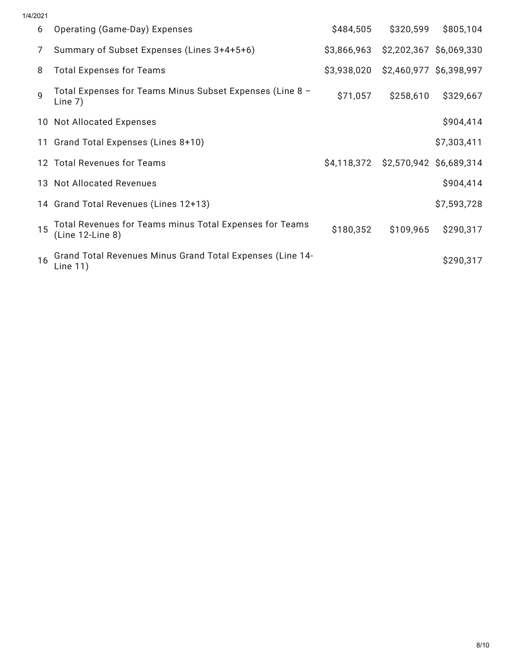| 1/4/2021 |                                                                             |             |                                     |                         |
|----------|-----------------------------------------------------------------------------|-------------|-------------------------------------|-------------------------|
| 6        | Operating (Game-Day) Expenses                                               | \$484,505   | \$320,599                           | \$805,104               |
|          | Summary of Subset Expenses (Lines 3+4+5+6)                                  | \$3,866,963 |                                     | \$2,202,367 \$6,069,330 |
| 8        | <b>Total Expenses for Teams</b>                                             | \$3,938,020 | \$2,460,977 \$6,398,997             |                         |
| a        | Total Expenses for Teams Minus Subset Expenses (Line 8 -<br>Line $7)$       | \$71,057    | \$258,610                           | \$329,667               |
|          | 10 Not Allocated Expenses                                                   |             |                                     | \$904,414               |
|          | 11 Grand Total Expenses (Lines 8+10)                                        |             |                                     | \$7,303,411             |
|          | 12 Total Revenues for Teams                                                 |             | \$4,118,372 \$2,570,942 \$6,689,314 |                         |
|          | 13 Not Allocated Revenues                                                   |             |                                     | \$904,414               |
|          | 14 Grand Total Revenues (Lines 12+13)                                       |             |                                     | \$7,593,728             |
| 15       | Total Revenues for Teams minus Total Expenses for Teams<br>(Line 12-Line 8) | \$180,352   | \$109,965                           | \$290,317               |
| 16       | Grand Total Revenues Minus Grand Total Expenses (Line 14-<br>Line 11)       |             |                                     | \$290,317               |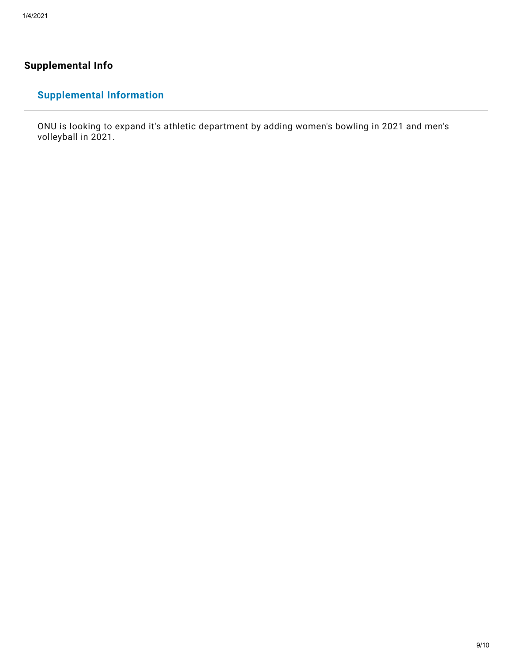#### **Supplemental Info**

## **Supplemental Information**

ONU is looking to expand it's athletic department by adding women's bowling in 2021 and men's volleyball in 2021.